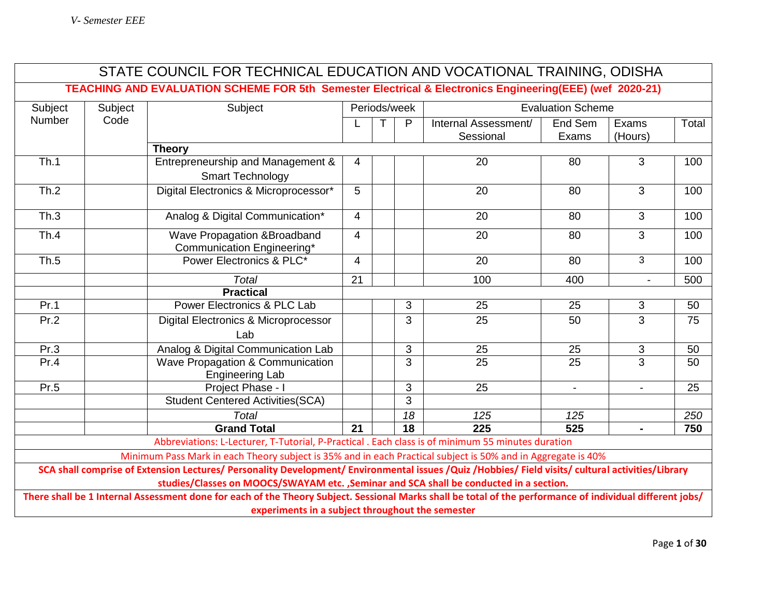|                                                                                                                                                                                                                                              |                                                                                                                                                                                                               | STATE COUNCIL FOR TECHNICAL EDUCATION AND VOCATIONAL TRAINING, ODISHA                             |                 |              |                 |                      |                          |                          |       |
|----------------------------------------------------------------------------------------------------------------------------------------------------------------------------------------------------------------------------------------------|---------------------------------------------------------------------------------------------------------------------------------------------------------------------------------------------------------------|---------------------------------------------------------------------------------------------------|-----------------|--------------|-----------------|----------------------|--------------------------|--------------------------|-------|
|                                                                                                                                                                                                                                              | TEACHING AND EVALUATION SCHEME FOR 5th Semester Electrical & Electronics Engineering(EEE) (wef 2020-21)                                                                                                       |                                                                                                   |                 |              |                 |                      |                          |                          |       |
| Subject                                                                                                                                                                                                                                      | Subject                                                                                                                                                                                                       | Subject                                                                                           |                 | Periods/week |                 |                      | <b>Evaluation Scheme</b> |                          |       |
| <b>Number</b>                                                                                                                                                                                                                                | Code                                                                                                                                                                                                          |                                                                                                   |                 |              | P               | Internal Assessment/ | End Sem                  | Exams                    | Total |
|                                                                                                                                                                                                                                              |                                                                                                                                                                                                               |                                                                                                   |                 |              |                 | Sessional            | Exams                    | (Hours)                  |       |
|                                                                                                                                                                                                                                              |                                                                                                                                                                                                               | <b>Theory</b>                                                                                     |                 |              |                 |                      |                          |                          |       |
| Th.1                                                                                                                                                                                                                                         |                                                                                                                                                                                                               | Entrepreneurship and Management &<br><b>Smart Technology</b>                                      | $\overline{4}$  |              |                 | 20                   | 80                       | 3                        | 100   |
| Th.2                                                                                                                                                                                                                                         |                                                                                                                                                                                                               |                                                                                                   | 5               |              |                 | 20                   | 80                       | 3                        | 100   |
|                                                                                                                                                                                                                                              |                                                                                                                                                                                                               | Digital Electronics & Microprocessor*                                                             |                 |              |                 |                      |                          |                          |       |
| Th.3                                                                                                                                                                                                                                         |                                                                                                                                                                                                               | Analog & Digital Communication*                                                                   | $\overline{4}$  |              |                 | 20                   | 80                       | 3                        | 100   |
| Th.4                                                                                                                                                                                                                                         |                                                                                                                                                                                                               | Wave Propagation & Broadband<br>Communication Engineering*                                        | $\overline{4}$  |              |                 | 20                   | 80                       | 3                        | 100   |
| Th.5                                                                                                                                                                                                                                         |                                                                                                                                                                                                               | Power Electronics & PLC*                                                                          | $\overline{4}$  |              |                 | 20                   | 80                       | 3                        | 100   |
|                                                                                                                                                                                                                                              |                                                                                                                                                                                                               | <b>Total</b>                                                                                      | 21              |              |                 | 100                  | 400                      | $\overline{a}$           | 500   |
|                                                                                                                                                                                                                                              |                                                                                                                                                                                                               | <b>Practical</b>                                                                                  |                 |              |                 |                      |                          |                          |       |
| Pr.1                                                                                                                                                                                                                                         |                                                                                                                                                                                                               | Power Electronics & PLC Lab                                                                       |                 |              | 3               | 25                   | 25                       | 3                        | 50    |
| Pr.2                                                                                                                                                                                                                                         |                                                                                                                                                                                                               | <b>Digital Electronics &amp; Microprocessor</b>                                                   |                 |              | 3               | 25                   | 50                       | $\overline{3}$           | 75    |
|                                                                                                                                                                                                                                              |                                                                                                                                                                                                               | Lab                                                                                               |                 |              |                 |                      |                          |                          |       |
| Pr.3                                                                                                                                                                                                                                         |                                                                                                                                                                                                               | Analog & Digital Communication Lab                                                                |                 |              | 3               | 25                   | 25                       | $\mathfrak{S}$           | 50    |
| Pr.4                                                                                                                                                                                                                                         |                                                                                                                                                                                                               | Wave Propagation & Communication<br><b>Engineering Lab</b>                                        |                 |              | 3               | 25                   | 25                       | $\overline{3}$           | 50    |
| Pr.5                                                                                                                                                                                                                                         |                                                                                                                                                                                                               | Project Phase - I                                                                                 |                 |              | $\mathbf{3}$    | 25                   | $\overline{\phantom{a}}$ | $\overline{\phantom{a}}$ | 25    |
|                                                                                                                                                                                                                                              |                                                                                                                                                                                                               | <b>Student Centered Activities (SCA)</b>                                                          |                 |              | $\overline{3}$  |                      |                          |                          |       |
|                                                                                                                                                                                                                                              |                                                                                                                                                                                                               | <b>Total</b>                                                                                      |                 |              | 18              | 125                  | 125                      |                          | 250   |
|                                                                                                                                                                                                                                              |                                                                                                                                                                                                               | <b>Grand Total</b>                                                                                | $\overline{21}$ |              | $\overline{18}$ | $\overline{225}$     | 525                      | $\blacksquare$           | 750   |
|                                                                                                                                                                                                                                              |                                                                                                                                                                                                               | Abbreviations: L-Lecturer, T-Tutorial, P-Practical . Each class is of minimum 55 minutes duration |                 |              |                 |                      |                          |                          |       |
| Minimum Pass Mark in each Theory subject is 35% and in each Practical subject is 50% and in Aggregate is 40%                                                                                                                                 |                                                                                                                                                                                                               |                                                                                                   |                 |              |                 |                      |                          |                          |       |
| SCA shall comprise of Extension Lectures/ Personality Development/ Environmental issues /Quiz /Hobbies/ Field visits/ cultural activities/Library<br>studies/Classes on MOOCS/SWAYAM etc. , Seminar and SCA shall be conducted in a section. |                                                                                                                                                                                                               |                                                                                                   |                 |              |                 |                      |                          |                          |       |
|                                                                                                                                                                                                                                              | There shall be 1 Internal Assessment done for each of the Theory Subject. Sessional Marks shall be total of the performance of individual different jobs/<br>experiments in a subject throughout the semester |                                                                                                   |                 |              |                 |                      |                          |                          |       |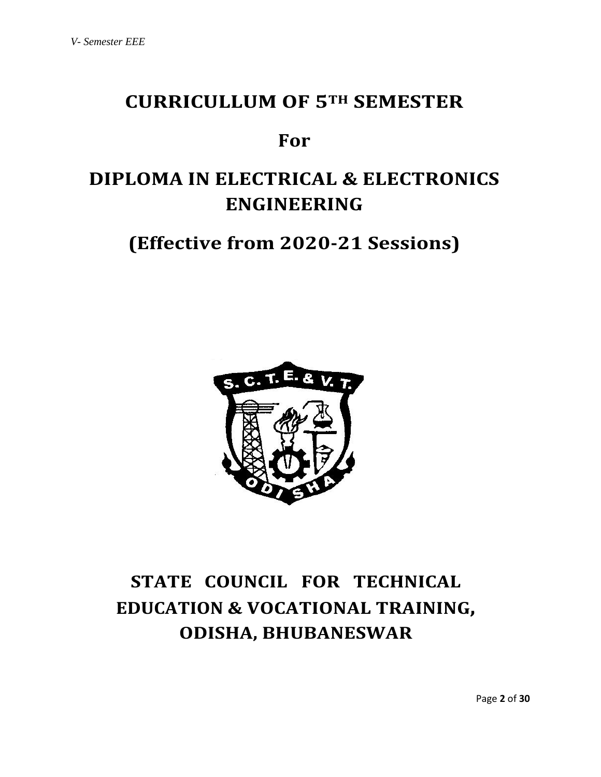## **CURRICULLUM OF 5TH SEMESTER**

## **For**

# **DIPLOMA IN ELECTRICAL & ELECTRONICS ENGINEERING**

**(Effective from 2020-21 Sessions)**



# **STATE COUNCIL FOR TECHNICAL EDUCATION & VOCATIONAL TRAINING, ODISHA, BHUBANESWAR**

Page **2** of **30**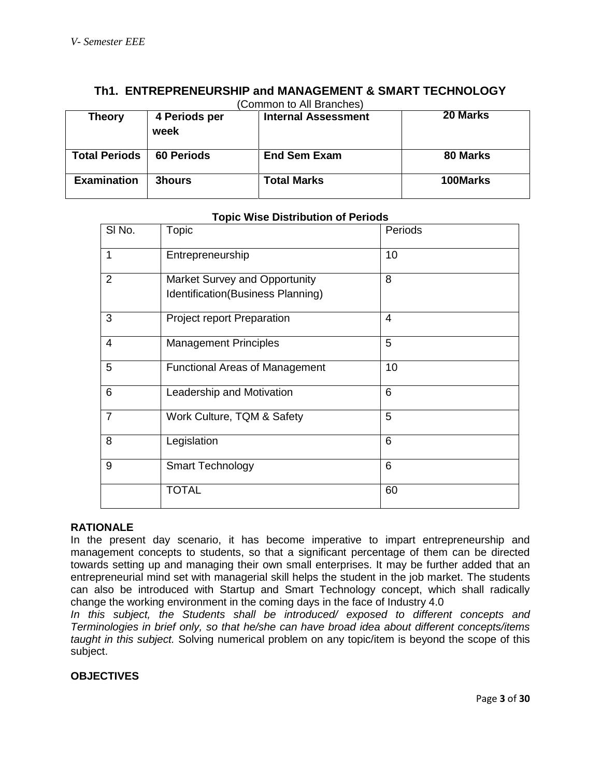| (Common to All Branches) |                       |                            |          |  |  |
|--------------------------|-----------------------|----------------------------|----------|--|--|
| <b>Theory</b>            | 4 Periods per<br>week | <b>Internal Assessment</b> | 20 Marks |  |  |
| <b>Total Periods</b>     | <b>60 Periods</b>     | <b>End Sem Exam</b>        | 80 Marks |  |  |
| <b>Examination</b>       | 3hours                | <b>Total Marks</b>         | 100Marks |  |  |

## **Th1. ENTREPRENEURSHIP and MANAGEMENT & SMART TECHNOLOGY**

## **Topic Wise Distribution of Periods**

| SI No.         | Topic                                                              | Periods |
|----------------|--------------------------------------------------------------------|---------|
| 1              | Entrepreneurship                                                   | 10      |
| $\overline{2}$ | Market Survey and Opportunity<br>Identification(Business Planning) | 8       |
| 3              | <b>Project report Preparation</b>                                  | 4       |
| 4              | <b>Management Principles</b>                                       | 5       |
| 5              | <b>Functional Areas of Management</b>                              | 10      |
| 6              | Leadership and Motivation                                          | 6       |
| $\overline{7}$ | Work Culture, TQM & Safety                                         | 5       |
| 8              | Legislation                                                        | 6       |
| 9              | <b>Smart Technology</b>                                            | 6       |
|                | <b>TOTAL</b>                                                       | 60      |

## **RATIONALE**

In the present day scenario, it has become imperative to impart entrepreneurship and management concepts to students, so that a significant percentage of them can be directed towards setting up and managing their own small enterprises. It may be further added that an entrepreneurial mind set with managerial skill helps the student in the job market. The students can also be introduced with Startup and Smart Technology concept, which shall radically change the working environment in the coming days in the face of Industry 4.0

*In this subject, the Students shall be introduced/ exposed to different concepts and Terminologies in brief only, so that he/she can have broad idea about different concepts/items taught in this subject.* Solving numerical problem on any topic/item is beyond the scope of this subject.

#### **OBJECTIVES**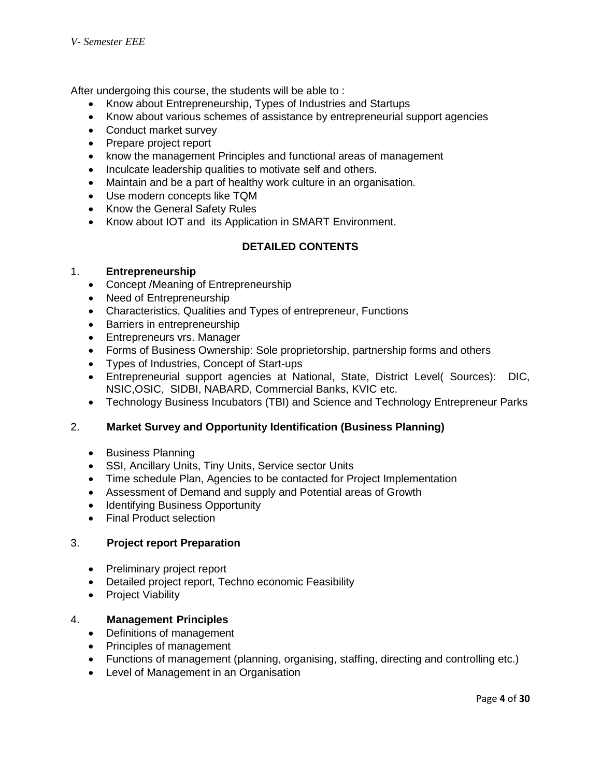After undergoing this course, the students will be able to :

- Know about Entrepreneurship, Types of Industries and Startups
- Know about various schemes of assistance by entrepreneurial support agencies
- Conduct market survey
- Prepare project report
- know the management Principles and functional areas of management
- Inculcate leadership qualities to motivate self and others.
- Maintain and be a part of healthy work culture in an organisation.
- Use modern concepts like TQM
- Know the General Safety Rules
- Know about IOT and its Application in SMART Environment.

## **DETAILED CONTENTS**

#### 1. **Entrepreneurship**

- Concept / Meaning of Entrepreneurship
- Need of Entrepreneurship
- Characteristics, Qualities and Types of entrepreneur, Functions
- Barriers in entrepreneurship
- Entrepreneurs vrs. Manager
- Forms of Business Ownership: Sole proprietorship, partnership forms and others
- Types of Industries, Concept of Start-ups
- Entrepreneurial support agencies at National, State, District Level( Sources): DIC, NSIC,OSIC, SIDBI, NABARD, Commercial Banks, KVIC etc.
- Technology Business Incubators (TBI) and Science and Technology Entrepreneur Parks

## 2. **Market Survey and Opportunity Identification (Business Planning)**

- Business Planning
- SSI, Ancillary Units, Tiny Units, Service sector Units
- Time schedule Plan, Agencies to be contacted for Project Implementation
- Assessment of Demand and supply and Potential areas of Growth
- Identifying Business Opportunity
- Final Product selection

## 3. **Project report Preparation**

- Preliminary project report
- Detailed project report, Techno economic Feasibility
- Project Viability

## 4. **Management Principles**

- Definitions of management
- Principles of management
- Functions of management (planning, organising, staffing, directing and controlling etc.)
- Level of Management in an Organisation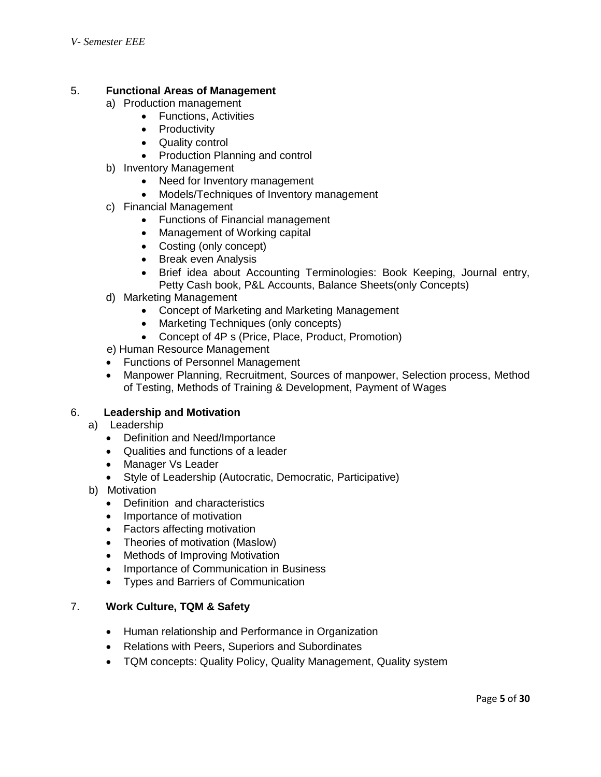## 5. **Functional Areas of Management**

- a) Production management
	- Functions, Activities
	- Productivity
	- Quality control
	- Production Planning and control
- b) Inventory Management
	- Need for Inventory management
	- Models/Techniques of Inventory management
- c) Financial Management
	- Functions of Financial management
	- Management of Working capital
	- Costing (only concept)
	- Break even Analysis
	- Brief idea about Accounting Terminologies: Book Keeping, Journal entry, Petty Cash book, P&L Accounts, Balance Sheets(only Concepts)
- d) Marketing Management
	- Concept of Marketing and Marketing Management
	- Marketing Techniques (only concepts)
	- Concept of 4P s (Price, Place, Product, Promotion)
- e) Human Resource Management
- Functions of Personnel Management
- Manpower Planning, Recruitment, Sources of manpower, Selection process, Method of Testing, Methods of Training & Development, Payment of Wages

## 6. **Leadership and Motivation**

- a) Leadership
	- Definition and Need/Importance
	- Qualities and functions of a leader
	- Manager Vs Leader
	- Style of Leadership (Autocratic, Democratic, Participative)
- b) Motivation
	- Definition and characteristics
	- Importance of motivation
	- Factors affecting motivation
	- Theories of motivation (Maslow)
	- Methods of Improving Motivation
	- Importance of Communication in Business
	- Types and Barriers of Communication

## 7. **Work Culture, TQM & Safety**

- Human relationship and Performance in Organization
- Relations with Peers, Superiors and Subordinates
- TQM concepts: Quality Policy, Quality Management, Quality system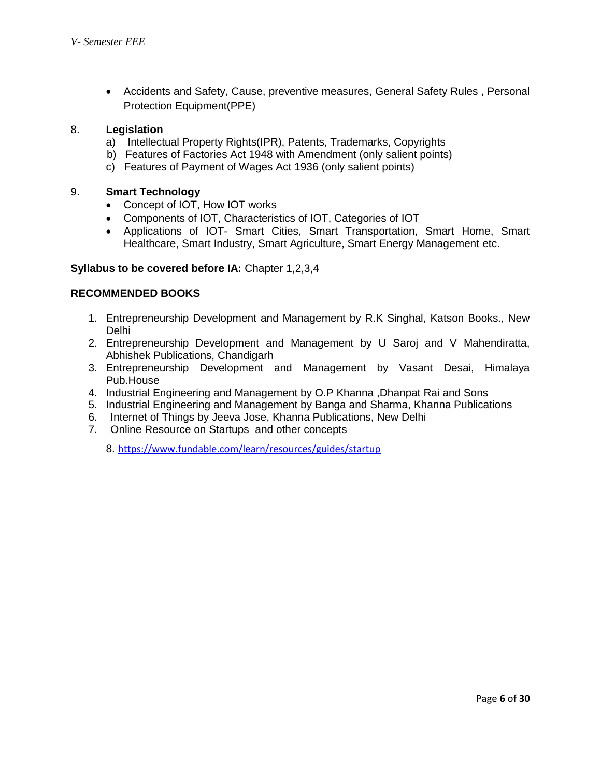Accidents and Safety, Cause, preventive measures, General Safety Rules , Personal Protection Equipment(PPE)

## 8. **Legislation**

- a) Intellectual Property Rights(IPR), Patents, Trademarks, Copyrights
- b) Features of Factories Act 1948 with Amendment (only salient points)
- c) Features of Payment of Wages Act 1936 (only salient points)

## 9. **Smart Technology**

- Concept of IOT, How IOT works
- Components of IOT, Characteristics of IOT, Categories of IOT
- Applications of IOT- Smart Cities, Smart Transportation, Smart Home, Smart Healthcare, Smart Industry, Smart Agriculture, Smart Energy Management etc.

## **Syllabus to be covered before IA:** Chapter 1,2,3,4

## **RECOMMENDED BOOKS**

- 1. Entrepreneurship Development and Management by R.K Singhal, Katson Books., New Delhi
- 2. Entrepreneurship Development and Management by U Saroj and V Mahendiratta, Abhishek Publications, Chandigarh
- 3. Entrepreneurship Development and Management by Vasant Desai, Himalaya Pub.House
- 4. Industrial Engineering and Management by O.P Khanna ,Dhanpat Rai and Sons
- 5. Industrial Engineering and Management by Banga and Sharma, Khanna Publications
- 6. Internet of Things by Jeeva Jose, Khanna Publications, New Delhi
- 7. Online Resource on Startups and other concepts

8. <https://www.fundable.com/learn/resources/guides/startup>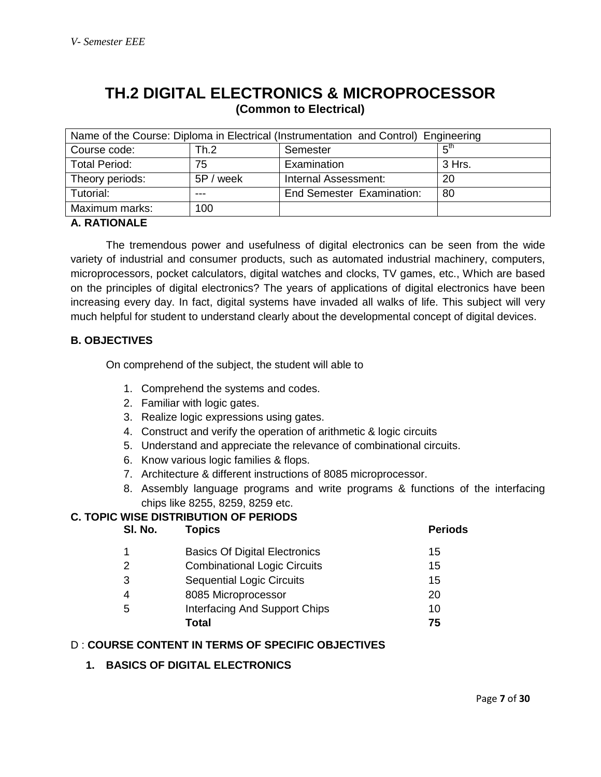## **TH.2 DIGITAL ELECTRONICS & MICROPROCESSOR (Common to Electrical)**

| Name of the Course: Diploma in Electrical (Instrumentation and Control) Engineering |           |                                  |                 |  |
|-------------------------------------------------------------------------------------|-----------|----------------------------------|-----------------|--|
| Course code:                                                                        | Th.2      | Semester                         | г <sup>th</sup> |  |
| <b>Total Period:</b>                                                                | 75        | Examination                      | 3 Hrs.          |  |
| Theory periods:                                                                     | 5P / week | Internal Assessment:             | 20              |  |
| Tutorial:                                                                           | ---       | <b>End Semester Examination:</b> | 80              |  |
| Maximum marks:                                                                      | 100       |                                  |                 |  |

## **A. RATIONALE**

The tremendous power and usefulness of digital electronics can be seen from the wide variety of industrial and consumer products, such as automated industrial machinery, computers, microprocessors, pocket calculators, digital watches and clocks, TV games, etc., Which are based on the principles of digital electronics? The years of applications of digital electronics have been increasing every day. In fact, digital systems have invaded all walks of life. This subject will very much helpful for student to understand clearly about the developmental concept of digital devices.

## **B. OBJECTIVES**

On comprehend of the subject, the student will able to

- 1. Comprehend the systems and codes.
- 2. Familiar with logic gates.
- 3. Realize logic expressions using gates.
- 4. Construct and verify the operation of arithmetic & logic circuits
- 5. Understand and appreciate the relevance of combinational circuits.
- 6. Know various logic families & flops.
- 7. Architecture & different instructions of 8085 microprocessor.
- 8. Assembly language programs and write programs & functions of the interfacing chips like 8255, 8259, 8259 etc.

## **C. TOPIC WISE DISTRIBUTION OF PERIODS**

| SI. No. | <b>Topics</b>                        | <b>Periods</b> |
|---------|--------------------------------------|----------------|
|         | <b>Basics Of Digital Electronics</b> | 15             |
| 2       | <b>Combinational Logic Circuits</b>  | 15             |
| 3       | <b>Sequential Logic Circuits</b>     | 15             |
| 4       | 8085 Microprocessor                  | 20             |
| 5       | Interfacing And Support Chips        | 10             |
|         | Total                                | 75             |

## D : **COURSE CONTENT IN TERMS OF SPECIFIC OBJECTIVES**

## **1. BASICS OF DIGITAL ELECTRONICS**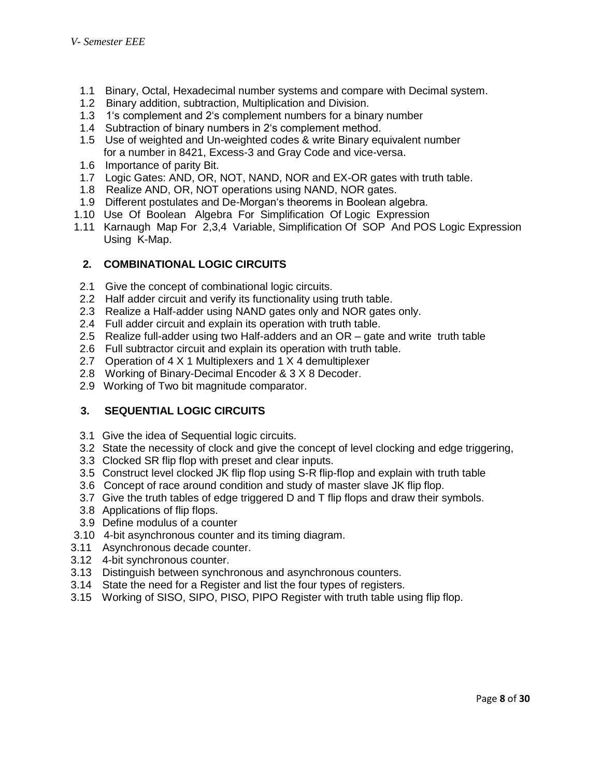- 1.1 Binary, Octal, Hexadecimal number systems and compare with Decimal system.
- 1.2 Binary addition, subtraction, Multiplication and Division.
- 1.3 1's complement and 2's complement numbers for a binary number
- 1.4 Subtraction of binary numbers in 2's complement method.
- 1.5 Use of weighted and Un-weighted codes & write Binary equivalent number for a number in 8421, Excess-3 and Gray Code and vice-versa.
- 1.6 Importance of parity Bit.
- 1.7 Logic Gates: AND, OR, NOT, NAND, NOR and EX-OR gates with truth table.
- 1.8 Realize AND, OR, NOT operations using NAND, NOR gates.
- 1.9 Different postulates and De-Morgan's theorems in Boolean algebra.
- 1.10 Use Of Boolean Algebra For Simplification Of Logic Expression
- 1.11 Karnaugh Map For 2,3,4 Variable, Simplification Of SOP And POS Logic Expression Using K-Map.

## **2. COMBINATIONAL LOGIC CIRCUITS**

- 2.1 Give the concept of combinational logic circuits.
- 2.2 Half adder circuit and verify its functionality using truth table.
- 2.3 Realize a Half-adder using NAND gates only and NOR gates only.
- 2.4 Full adder circuit and explain its operation with truth table.
- 2.5 Realize full-adder using two Half-adders and an OR gate and write truth table
- 2.6 Full subtractor circuit and explain its operation with truth table.
- 2.7 Operation of 4 X 1 Multiplexers and 1 X 4 demultiplexer
- 2.8 Working of Binary-Decimal Encoder & 3 X 8 Decoder.
- 2.9 Working of Two bit magnitude comparator.

## **3. SEQUENTIAL LOGIC CIRCUITS**

- 3.1 Give the idea of Sequential logic circuits.
- 3.2 State the necessity of clock and give the concept of level clocking and edge triggering,
- 3.3 Clocked SR flip flop with preset and clear inputs.
- 3.5 Construct level clocked JK flip flop using S-R flip-flop and explain with truth table
- 3.6 Concept of race around condition and study of master slave JK flip flop.
- 3.7 Give the truth tables of edge triggered D and T flip flops and draw their symbols.
- 3.8 Applications of flip flops.
- 3.9 Define modulus of a counter
- 3.10 4-bit asynchronous counter and its timing diagram.
- 3.11 Asynchronous decade counter.
- 3.12 4-bit synchronous counter.
- 3.13 Distinguish between synchronous and asynchronous counters.
- 3.14 State the need for a Register and list the four types of registers.
- 3.15 Working of SISO, SIPO, PISO, PIPO Register with truth table using flip flop.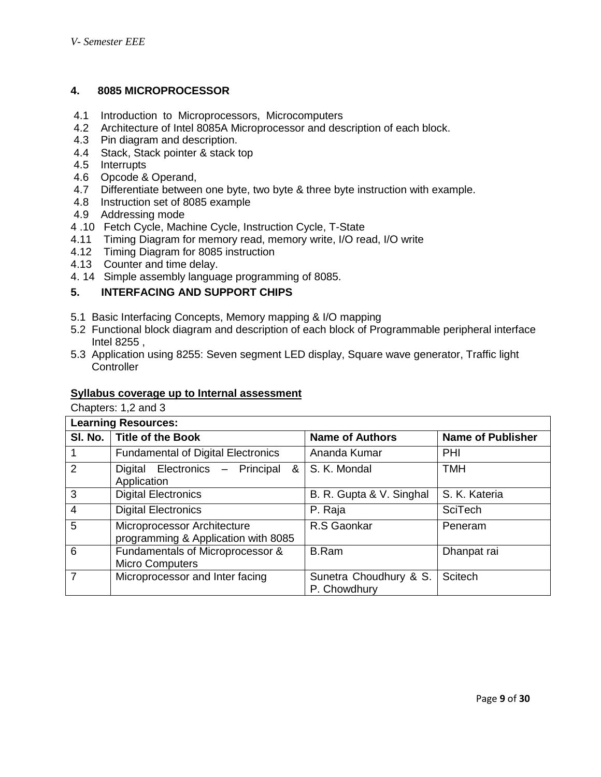## **4. 8085 MICROPROCESSOR**

- 4.1 Introduction to Microprocessors, Microcomputers
- 4.2 Architecture of Intel 8085A Microprocessor and description of each block.
- 4.3 Pin diagram and description.
- 4.4 Stack, Stack pointer & stack top
- 4.5 Interrupts
- 4.6 Opcode & Operand,
- 4.7 Differentiate between one byte, two byte & three byte instruction with example.
- 4.8 Instruction set of 8085 example
- 4.9 Addressing mode
- 4 .10 Fetch Cycle, Machine Cycle, Instruction Cycle, T-State
- 4.11 Timing Diagram for memory read, memory write, I/O read, I/O write
- 4.12 Timing Diagram for 8085 instruction
- 4.13 Counter and time delay.
- 4. 14 Simple assembly language programming of 8085.

## **5. INTERFACING AND SUPPORT CHIPS**

- 5.1 Basic Interfacing Concepts, Memory mapping & I/O mapping
- 5.2 Functional block diagram and description of each block of Programmable peripheral interface Intel 8255 ,
- 5.3 Application using 8255: Seven segment LED display, Square wave generator, Traffic light **Controller**

#### **Syllabus coverage up to Internal assessment**

Chapters: 1,2 and 3

| <b>Learning Resources:</b> |                                                                    |                                        |                          |  |
|----------------------------|--------------------------------------------------------------------|----------------------------------------|--------------------------|--|
|                            | SI. No.   Title of the Book                                        | <b>Name of Authors</b>                 | <b>Name of Publisher</b> |  |
|                            | <b>Fundamental of Digital Electronics</b>                          | Ananda Kumar                           | PHI                      |  |
| 2                          | Digital Electronics - Principal<br>&<br>Application                | S. K. Mondal                           | <b>TMH</b>               |  |
| 3                          | <b>Digital Electronics</b>                                         | B. R. Gupta & V. Singhal               | S. K. Kateria            |  |
| $\overline{4}$             | <b>Digital Electronics</b>                                         | P. Raja                                | <b>SciTech</b>           |  |
| 5                          | Microprocessor Architecture<br>programming & Application with 8085 | R.S Gaonkar                            | Peneram                  |  |
| 6                          | Fundamentals of Microprocessor &<br><b>Micro Computers</b>         | <b>B.Ram</b>                           | Dhanpat rai              |  |
| $\overline{7}$             | Microprocessor and Inter facing                                    | Sunetra Choudhury & S.<br>P. Chowdhury | Scitech                  |  |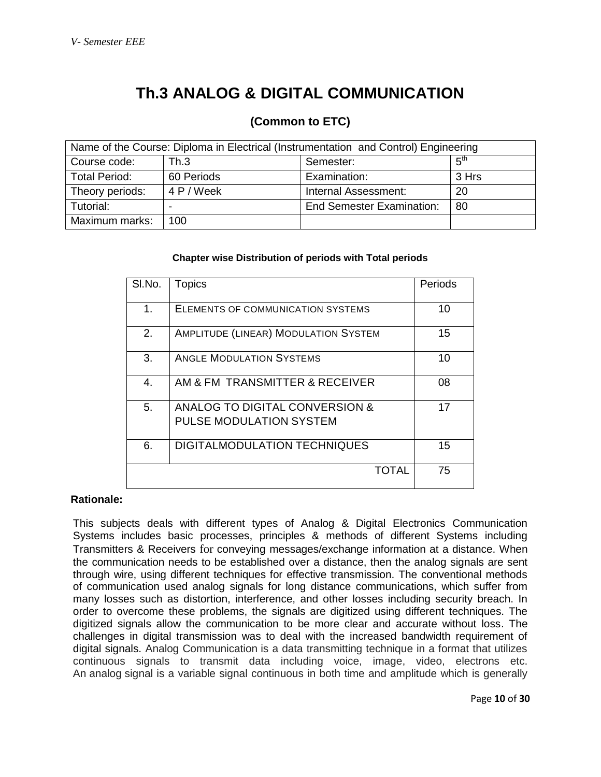## **Th.3 ANALOG & DIGITAL COMMUNICATION**

## **(Common to ETC)**

| Name of the Course: Diploma in Electrical (Instrumentation and Control) Engineering |            |                                  |                 |  |
|-------------------------------------------------------------------------------------|------------|----------------------------------|-----------------|--|
| Course code:                                                                        | Th.3       | Semester:                        | 5 <sup>th</sup> |  |
| <b>Total Period:</b>                                                                | 60 Periods | Examination:                     | 3 Hrs           |  |
| Theory periods:                                                                     | 4 P / Week | Internal Assessment:             | 20              |  |
| Tutorial:                                                                           |            | <b>End Semester Examination:</b> | -80             |  |
| Maximum marks:                                                                      | 100        |                                  |                 |  |

#### **Chapter wise Distribution of periods with Total periods**

| SI.No. | <b>Topics</b>                                                    | Periods |
|--------|------------------------------------------------------------------|---------|
| 1.     | ELEMENTS OF COMMUNICATION SYSTEMS                                | 10      |
| 2.     | <b>AMPLITUDE (LINEAR) MODULATION SYSTEM</b>                      | 15      |
| 3.     | <b>ANGLE MODULATION SYSTEMS</b>                                  | 10      |
| 4.     | AM & FM TRANSMITTER & RECEIVER                                   | 08      |
| 5.     | ANALOG TO DIGITAL CONVERSION &<br><b>PULSE MODULATION SYSTEM</b> | 17      |
| 6.     | <b>DIGITALMODULATION TECHNIQUES</b>                              | 15      |
|        | TOTAL                                                            | 75      |

## **Rationale:**

This subjects deals with different types of Analog & Digital Electronics Communication Systems includes basic processes, principles & methods of different Systems including Transmitters & Receivers for conveying messages/exchange information at a distance. When the communication needs to be established over a distance, then the analog signals are sent through wire, using different techniques for effective transmission. The conventional methods of communication used analog signals for long distance communications, which suffer from many losses such as distortion, interference, and other losses including security breach. In order to overcome these problems, the signals are digitized using different techniques. The digitized signals allow the communication to be more clear and accurate without loss. The challenges in digital transmission was to deal with the increased bandwidth requirement of digital signals. Analog Communication is a data transmitting technique in a format that utilizes continuous signals to transmit data including voice, image, video, electrons etc. An analog signal is a variable signal continuous in both time and amplitude which is generally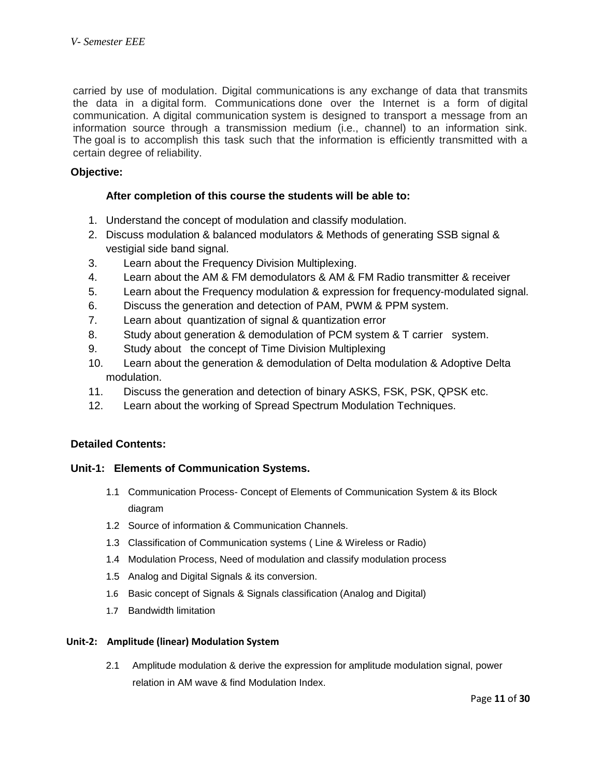carried by use of modulation. Digital communications is any exchange of data that transmits the data in a digital form. Communications done over the Internet is a form of digital communication. A digital communication system is designed to transport a message from an information source through a transmission medium (i.e., channel) to an information sink. The goal is to accomplish this task such that the information is efficiently transmitted with a certain degree of reliability.

## **Objective:**

#### **After completion of this course the students will be able to:**

- 1. Understand the concept of modulation and classify modulation.
- 2. Discuss modulation & balanced modulators & Methods of generating SSB signal & vestigial side band signal.
- 3. Learn about the Frequency Division Multiplexing.
- 4. Learn about the AM & FM demodulators & AM & FM Radio transmitter & receiver
- 5. Learn about the Frequency modulation & expression for frequency-modulated signal.
- 6. Discuss the generation and detection of PAM, PWM & PPM system.
- 7. Learn about quantization of signal & quantization error
- 8. Study about generation & demodulation of PCM system & T carrier system.
- 9. Study about the concept of Time Division Multiplexing
- 10. Learn about the generation & demodulation of Delta modulation & Adoptive Delta modulation.
- 11. Discuss the generation and detection of binary ASKS, FSK, PSK, QPSK etc.
- 12. Learn about the working of Spread Spectrum Modulation Techniques.

#### **Detailed Contents:**

#### **Unit-1: Elements of Communication Systems.**

- 1.1 Communication Process- Concept of Elements of Communication System & its Block diagram
- 1.2 Source of information & Communication Channels.
- 1.3 Classification of Communication systems ( Line & Wireless or Radio)
- 1.4 Modulation Process, Need of modulation and classify modulation process
- 1.5 Analog and Digital Signals & its conversion.
- 1.6 Basic concept of Signals & Signals classification (Analog and Digital)
- 1.7 Bandwidth limitation

#### **Unit-2: Amplitude (linear) Modulation System**

2.1 Amplitude modulation & derive the expression for amplitude modulation signal, power relation in AM wave & find Modulation Index.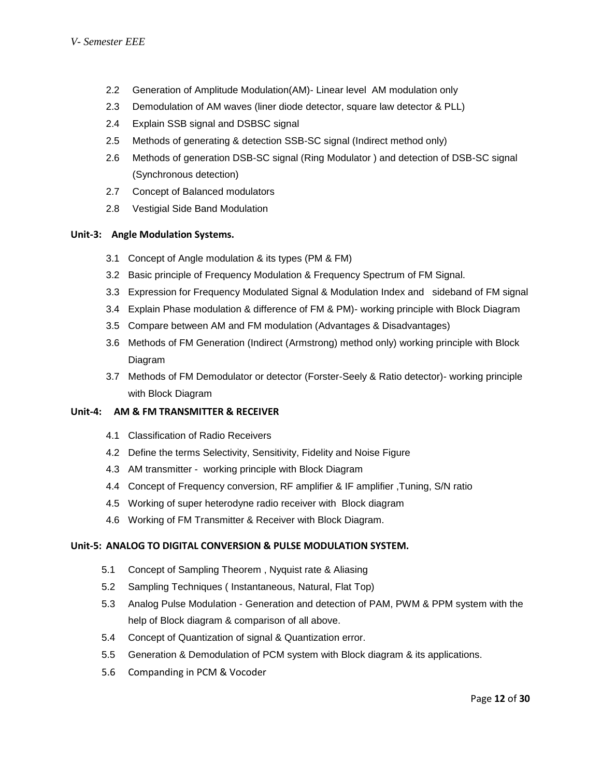- 2.2 Generation of Amplitude Modulation(AM)- Linear level AM modulation only
- 2.3 Demodulation of AM waves (liner diode detector, square law detector & PLL)
- 2.4 Explain SSB signal and DSBSC signal
- 2.5 Methods of generating & detection SSB-SC signal (Indirect method only)
- 2.6 Methods of generation DSB-SC signal (Ring Modulator ) and detection of DSB-SC signal (Synchronous detection)
- 2.7 Concept of Balanced modulators
- 2.8 Vestigial Side Band Modulation

#### **Unit-3: Angle Modulation Systems.**

- 3.1 Concept of Angle modulation & its types (PM & FM)
- 3.2 Basic principle of Frequency Modulation & Frequency Spectrum of FM Signal.
- 3.3 Expression for Frequency Modulated Signal & Modulation Index and sideband of FM signal
- 3.4 Explain Phase modulation & difference of FM & PM)- working principle with Block Diagram
- 3.5 Compare between AM and FM modulation (Advantages & Disadvantages)
- 3.6 Methods of FM Generation (Indirect (Armstrong) method only) working principle with Block Diagram
- 3.7 Methods of FM Demodulator or detector (Forster-Seely & Ratio detector)- working principle with Block Diagram

#### **Unit-4: AM & FM TRANSMITTER & RECEIVER**

- 4.1 Classification of Radio Receivers
- 4.2 Define the terms Selectivity, Sensitivity, Fidelity and Noise Figure
- 4.3 AM transmitter working principle with Block Diagram
- 4.4 Concept of Frequency conversion, RF amplifier & IF amplifier ,Tuning, S/N ratio
- 4.5 Working of super heterodyne radio receiver with Block diagram
- 4.6 Working of FM Transmitter & Receiver with Block Diagram.

#### **Unit-5: ANALOG TO DIGITAL CONVERSION & PULSE MODULATION SYSTEM.**

- 5.1 Concept of Sampling Theorem , Nyquist rate & Aliasing
- 5.2 Sampling Techniques ( Instantaneous, Natural, Flat Top)
- 5.3 Analog Pulse Modulation Generation and detection of PAM, PWM & PPM system with the help of Block diagram & comparison of all above.
- 5.4 Concept of Quantization of signal & Quantization error.
- 5.5 Generation & Demodulation of PCM system with Block diagram & its applications.
- 5.6 Companding in PCM & Vocoder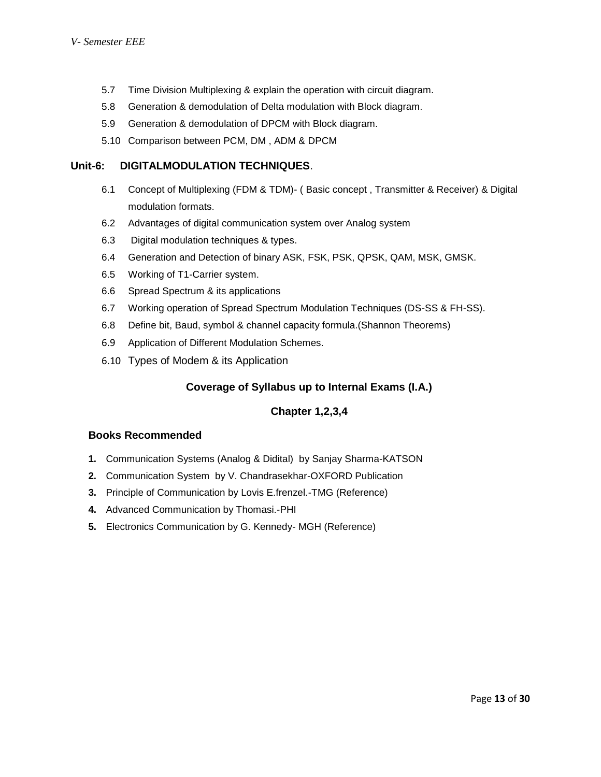- 5.7 Time Division Multiplexing & explain the operation with circuit diagram.
- 5.8 Generation & demodulation of Delta modulation with Block diagram.
- 5.9 Generation & demodulation of DPCM with Block diagram.
- 5.10 Comparison between PCM, DM , ADM & DPCM

#### **Unit-6: DIGITALMODULATION TECHNIQUES**.

- 6.1 Concept of Multiplexing (FDM & TDM)- ( Basic concept , Transmitter & Receiver) & Digital modulation formats.
- 6.2 Advantages of digital communication system over Analog system
- 6.3 Digital modulation techniques & types.
- 6.4 Generation and Detection of binary ASK, FSK, PSK, QPSK, QAM, MSK, GMSK.
- 6.5 Working of T1-Carrier system.
- 6.6 Spread Spectrum & its applications
- 6.7 Working operation of Spread Spectrum Modulation Techniques (DS-SS & FH-SS).
- 6.8 Define bit, Baud, symbol & channel capacity formula.(Shannon Theorems)
- 6.9 Application of Different Modulation Schemes.
- 6.10 Types of Modem & its Application

## **Coverage of Syllabus up to Internal Exams (I.A.)**

## **Chapter 1,2,3,4**

#### **Books Recommended**

- **1.** Communication Systems (Analog & Didital) by Sanjay Sharma-KATSON
- **2.** Communication System by V. Chandrasekhar-OXFORD Publication
- **3.** Principle of Communication by Lovis E.frenzel.-TMG (Reference)
- **4.** Advanced Communication by Thomasi.-PHI
- **5.** Electronics Communication by G. Kennedy- MGH (Reference)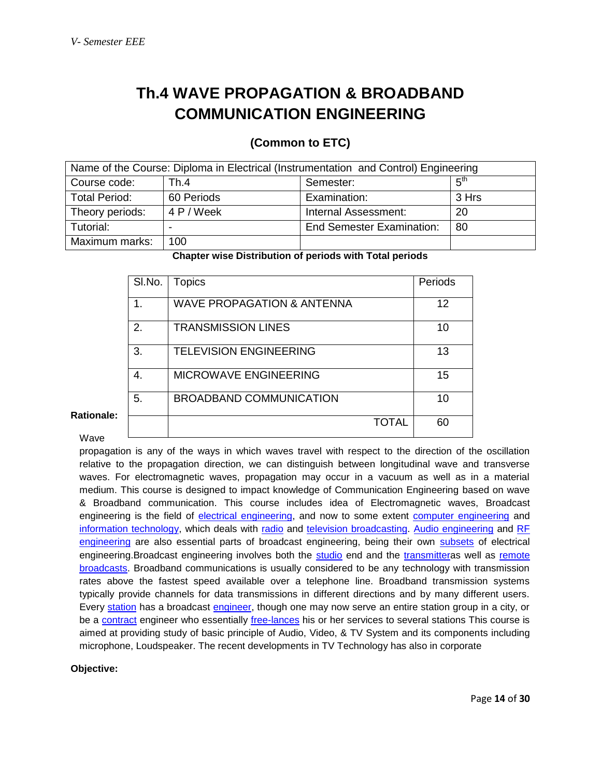## **Th.4 WAVE PROPAGATION & BROADBAND COMMUNICATION ENGINEERING**

## **(Common to ETC)**

| Name of the Course: Diploma in Electrical (Instrumentation and Control) Engineering |            |                                  |                 |  |
|-------------------------------------------------------------------------------------|------------|----------------------------------|-----------------|--|
| Course code:                                                                        | Th.4       | Semester:                        | $5^{\text{th}}$ |  |
| <b>Total Period:</b>                                                                | 60 Periods | Examination:                     | 3 Hrs           |  |
| Theory periods:                                                                     | 4 P / Week | Internal Assessment:             | 20              |  |
| Tutorial:                                                                           |            | <b>End Semester Examination:</b> | -80             |  |
| Maximum marks:                                                                      | 100        |                                  |                 |  |

**Chapter wise Distribution of periods with Total periods**

| SI.No. | Topics                                | Periods |
|--------|---------------------------------------|---------|
| 1.     | <b>WAVE PROPAGATION &amp; ANTENNA</b> | 12      |
| 2.     | <b>TRANSMISSION LINES</b>             | 10      |
| 3.     | <b>TELEVISION ENGINEERING</b>         | 13      |
| 4.     | <b>MICROWAVE ENGINEERING</b>          | 15      |
| 5.     | <b>BROADBAND COMMUNICATION</b>        | 10      |
|        | TOTAL                                 | 60      |

## Wave

**Rationale:**

propagation is any of the ways in which waves travel with respect to the direction of the oscillation relative to the propagation direction, we can distinguish between longitudinal wave and transverse waves. For electromagnetic waves, propagation may occur in a vacuum as well as in a material medium. This course is designed to impact knowledge of Communication Engineering based on wave & Broadband communication. This course includes idea of Electromagnetic waves, Broadcast engineering is the field of [electrical engineering,](http://en.wikipedia.org/wiki/Electrical_engineering) and now to some extent [computer engineering](http://en.wikipedia.org/wiki/Computer_engineering) and [information technology,](http://en.wikipedia.org/wiki/Information_technology) which deals with [radio](http://en.wikipedia.org/wiki/Radio) and [television](http://en.wikipedia.org/wiki/Television) [broadcasting.](http://en.wikipedia.org/wiki/Broadcasting) [Audio engineering](http://en.wikipedia.org/wiki/Audio_engineering) and RF [engineering](http://en.wikipedia.org/wiki/RF_engineering) are also essential parts of broadcast engineering, being their own [subsets](http://en.wikipedia.org/wiki/Subset) of electrical engineering.Broadcast engineering involves both the [studio](http://en.wikipedia.org/wiki/Television_studio) end and the [transmittera](http://en.wikipedia.org/wiki/Transmitter)s well as remote [broadcasts.](http://en.wikipedia.org/wiki/Remote_broadcast) Broadband communications is usually considered to be any technology with transmission rates above the fastest speed available over a telephone line. Broadband transmission systems typically provide channels for data transmissions in different directions and by many different users. Every [station](http://en.wikipedia.org/wiki/Broadcast_network) has a broadcast [engineer,](http://en.wikipedia.org/wiki/Engineer) though one may now serve an entire station group in a city, or be a [contract](http://en.wikipedia.org/wiki/Contract) engineer who essentially [free-lances](http://en.wikipedia.org/wiki/Freelance) his or her services to several stations This course is aimed at providing study of basic principle of Audio, Video, & TV System and its components including microphone, Loudspeaker. The recent developments in TV Technology has also in corporate

#### **Objective:**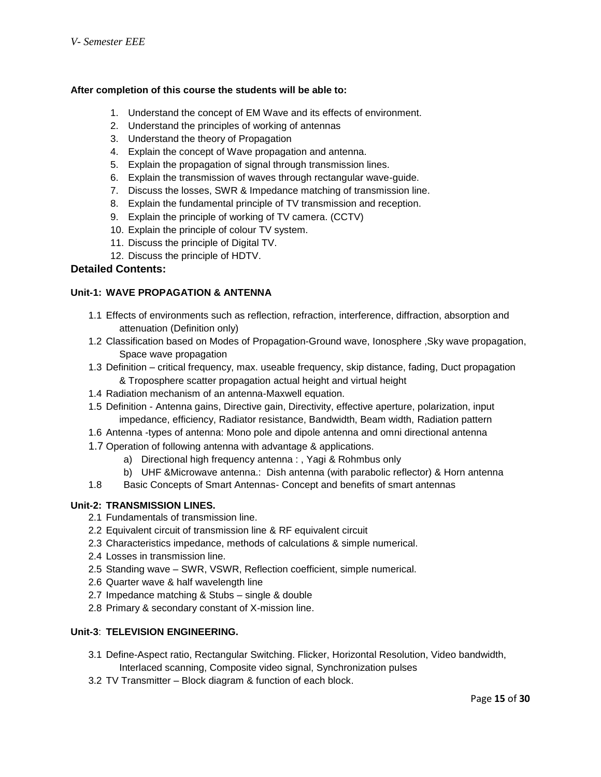#### **After completion of this course the students will be able to:**

- 1. Understand the concept of EM Wave and its effects of environment.
- 2. Understand the principles of working of antennas
- 3. Understand the theory of Propagation
- 4. Explain the concept of Wave propagation and antenna.
- 5. Explain the propagation of signal through transmission lines.
- 6. Explain the transmission of waves through rectangular wave-guide.
- 7. Discuss the losses, SWR & Impedance matching of transmission line.
- 8. Explain the fundamental principle of TV transmission and reception.
- 9. Explain the principle of working of TV camera. (CCTV)
- 10. Explain the principle of colour TV system.
- 11. Discuss the principle of Digital TV.
- 12. Discuss the principle of HDTV.

## **Detailed Contents:**

#### **Unit-1: WAVE PROPAGATION & ANTENNA**

- 1.1 Effects of environments such as reflection, refraction, interference, diffraction, absorption and attenuation (Definition only)
- 1.2 Classification based on Modes of Propagation-Ground wave, Ionosphere ,Sky wave propagation, Space wave propagation
- 1.3 Definition critical frequency, max. useable frequency, skip distance, fading, Duct propagation & Troposphere scatter propagation actual height and virtual height
- 1.4 Radiation mechanism of an antenna-Maxwell equation.
- 1.5 Definition Antenna gains, Directive gain, Directivity, effective aperture, polarization, input impedance, efficiency, Radiator resistance, Bandwidth, Beam width, Radiation pattern
- 1.6 Antenna -types of antenna: Mono pole and dipole antenna and omni directional antenna
- 1.7 Operation of following antenna with advantage & applications.
	- a) Directional high frequency antenna : , Yagi & Rohmbus only
	- b) UHF &Microwave antenna.: Dish antenna (with parabolic reflector) & Horn antenna
- 1.8 Basic Concepts of Smart Antennas- Concept and benefits of smart antennas

#### **Unit-2: TRANSMISSION LINES.**

- 2.1 Fundamentals of transmission line.
- 2.2 Equivalent circuit of transmission line & RF equivalent circuit
- 2.3 Characteristics impedance, methods of calculations & simple numerical.
- 2.4 Losses in transmission line.
- 2.5 Standing wave SWR, VSWR, Reflection coefficient, simple numerical.
- 2.6 Quarter wave & half wavelength line
- 2.7 Impedance matching & Stubs single & double
- 2.8 Primary & secondary constant of X-mission line.

#### **Unit-3**: **TELEVISION ENGINEERING.**

- 3.1 Define-Aspect ratio, Rectangular Switching. Flicker, Horizontal Resolution, Video bandwidth, Interlaced scanning, Composite video signal, Synchronization pulses
- 3.2 TV Transmitter Block diagram & function of each block.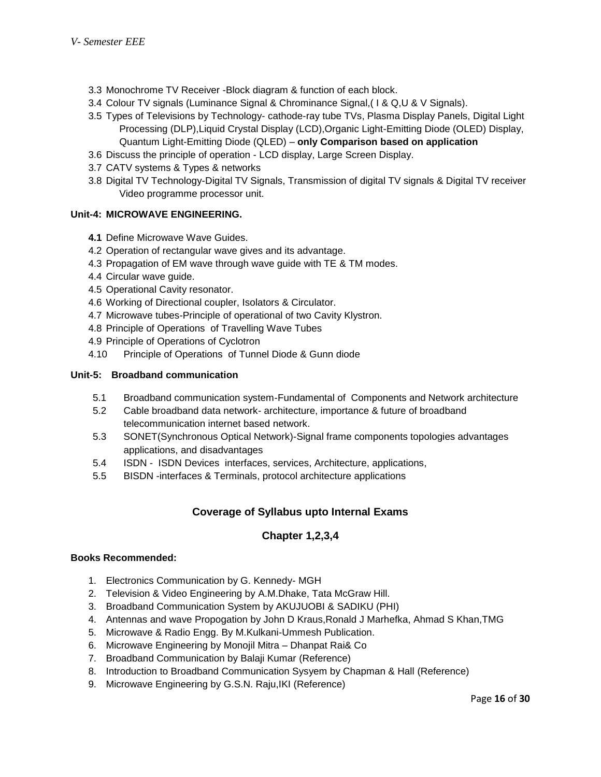- 3.3 Monochrome TV Receiver -Block diagram & function of each block.
- 3.4 Colour TV signals (Luminance Signal & Chrominance Signal,( I & Q,U & V Signals).
- 3.5 Types of Televisions by Technology- cathode-ray tube TVs, Plasma Display Panels, Digital Light Processing (DLP),Liquid Crystal Display (LCD),Organic Light-Emitting Diode (OLED) Display, Quantum Light-Emitting Diode (QLED) – **only Comparison based on application**
- 3.6 Discuss the principle of operation LCD display, Large Screen Display.
- 3.7 CATV systems & Types & networks
- 3.8 Digital TV Technology-Digital TV Signals, Transmission of digital TV signals & Digital TV receiver Video programme processor unit.

#### **Unit-4: MICROWAVE ENGINEERING.**

- **4.1** Define Microwave Wave Guides.
- 4.2 Operation of rectangular wave gives and its advantage.
- 4.3 Propagation of EM wave through wave guide with TE & TM modes.
- 4.4 Circular wave guide.
- 4.5 Operational Cavity resonator.
- 4.6 Working of Directional coupler, Isolators & Circulator.
- 4.7 Microwave tubes-Principle of operational of two Cavity Klystron.
- 4.8 Principle of Operations of Travelling Wave Tubes
- 4.9 Principle of Operations of Cyclotron
- 4.10 Principle of Operations of Tunnel Diode & Gunn diode

#### **Unit-5: Broadband communication**

- 5.1 Broadband communication system-Fundamental of Components and Network architecture
- 5.2 Cable broadband data network- architecture, importance & future of broadband telecommunication internet based network.
- 5.3 SONET(Synchronous Optical Network)-Signal frame components topologies advantages applications, and disadvantages
- 5.4 ISDN ISDN Devices interfaces, services, Architecture, applications,
- 5.5 BISDN -interfaces & Terminals, protocol architecture applications

## **Coverage of Syllabus upto Internal Exams**

## **Chapter 1,2,3,4**

#### **Books Recommended:**

- 1. Electronics Communication by G. Kennedy- MGH
- 2. Television & Video Engineering by A.M.Dhake, Tata McGraw Hill.
- 3. Broadband Communication System by AKUJUOBI & SADIKU (PHI)
- 4. Antennas and wave Propogation by John D Kraus,Ronald J Marhefka, Ahmad S Khan,TMG
- 5. Microwave & Radio Engg. By M.Kulkani-Ummesh Publication.
- 6. Microwave Engineering by Monojil Mitra Dhanpat Rai& Co
- 7. Broadband Communication by Balaji Kumar (Reference)
- 8. Introduction to Broadband Communication Sysyem by Chapman & Hall (Reference)
- 9. Microwave Engineering by G.S.N. Raju,IKI (Reference)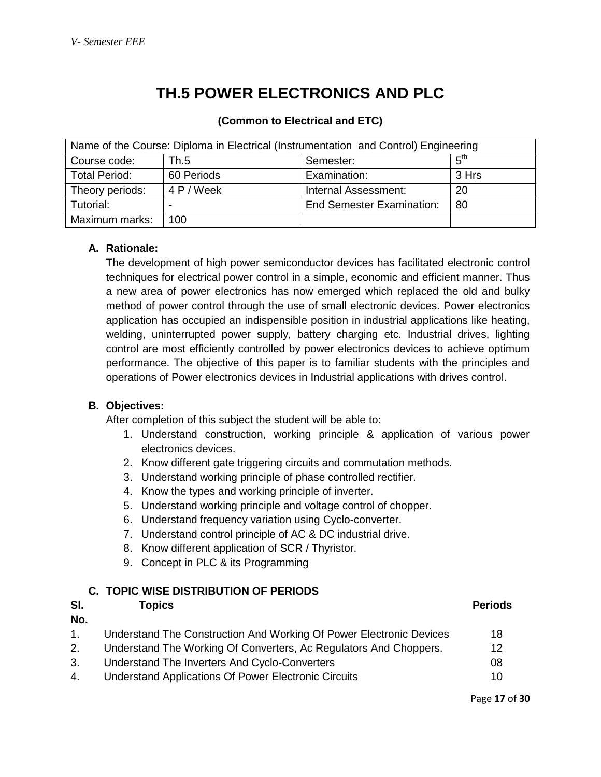## **TH.5 POWER ELECTRONICS AND PLC**

| Name of the Course: Diploma in Electrical (Instrumentation and Control) Engineering |            |                                  |                 |  |  |
|-------------------------------------------------------------------------------------|------------|----------------------------------|-----------------|--|--|
| Course code:                                                                        | Th.5       | Semester:                        | հ <sup>th</sup> |  |  |
| <b>Total Period:</b>                                                                | 60 Periods | Examination:                     | 3 Hrs           |  |  |
| Theory periods:                                                                     | 4 P / Week | Internal Assessment:             | 20              |  |  |
| Tutorial:                                                                           |            | <b>End Semester Examination:</b> | -80             |  |  |
| Maximum marks:                                                                      | 100        |                                  |                 |  |  |

#### **(Common to Electrical and ETC)**

## **A. Rationale:**

The development of high power semiconductor devices has facilitated electronic control techniques for electrical power control in a simple, economic and efficient manner. Thus a new area of power electronics has now emerged which replaced the old and bulky method of power control through the use of small electronic devices. Power electronics application has occupied an indispensible position in industrial applications like heating, welding, uninterrupted power supply, battery charging etc. Industrial drives, lighting control are most efficiently controlled by power electronics devices to achieve optimum performance. The objective of this paper is to familiar students with the principles and operations of Power electronics devices in Industrial applications with drives control.

## **B. Objectives:**

After completion of this subject the student will be able to:

- 1. Understand construction, working principle & application of various power electronics devices.
- 2. Know different gate triggering circuits and commutation methods.
- 3. Understand working principle of phase controlled rectifier.
- 4. Know the types and working principle of inverter.
- 5. Understand working principle and voltage control of chopper.
- 6. Understand frequency variation using Cyclo-converter.
- 7. Understand control principle of AC & DC industrial drive.
- 8. Know different application of SCR / Thyristor.
- 9. Concept in PLC & its Programming

## **C. TOPIC WISE DISTRIBUTION OF PERIODS**

| SI. | Topics                                                              | <b>Periods</b> |
|-----|---------------------------------------------------------------------|----------------|
| No. |                                                                     |                |
| 1.  | Understand The Construction And Working Of Power Electronic Devices | 18             |
| 2.  | Understand The Working Of Converters, Ac Regulators And Choppers.   | 12             |
| 3.  | Understand The Inverters And Cyclo-Converters                       | 08             |
| 4.  | Understand Applications Of Power Electronic Circuits                | 10             |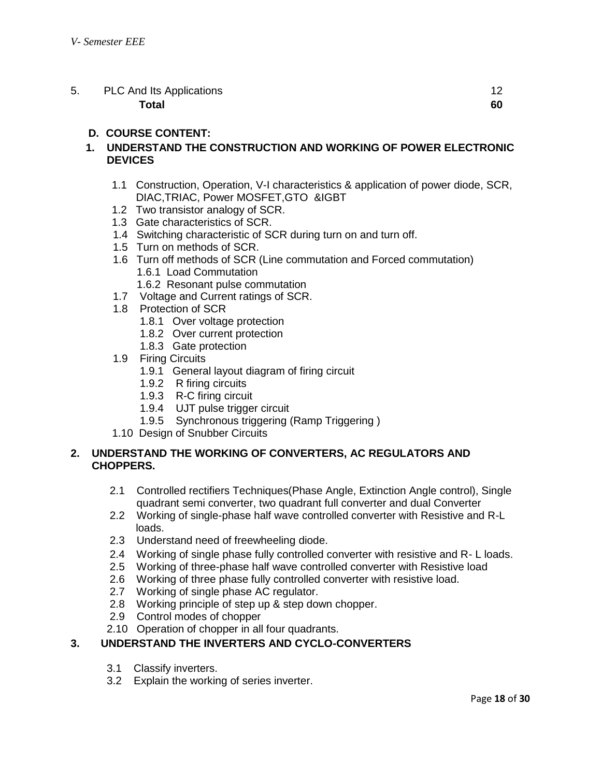| 5. | <b>PLC And Its Applications</b> |    |
|----|---------------------------------|----|
|    | Total                           | 60 |

## **D. COURSE CONTENT:**

## **1. UNDERSTAND THE CONSTRUCTION AND WORKING OF POWER ELECTRONIC DEVICES**

- 1.1 Construction, Operation, V-I characteristics & application of power diode, SCR, DIAC,TRIAC, Power MOSFET,GTO &IGBT
- 1.2 Two transistor analogy of SCR.
- 1.3 Gate characteristics of SCR.
- 1.4 Switching characteristic of SCR during turn on and turn off.
- 1.5 Turn on methods of SCR.
- 1.6 Turn off methods of SCR (Line commutation and Forced commutation) 1.6.1 Load Commutation
	- 1.6.2 Resonant pulse commutation
- 1.7 Voltage and Current ratings of SCR.
- 1.8 Protection of SCR
	- 1.8.1 Over voltage protection
	- 1.8.2 Over current protection
	- 1.8.3 Gate protection
- 1.9 Firing Circuits
	- 1.9.1 General layout diagram of firing circuit
	- 1.9.2 R firing circuits
	- 1.9.3 R-C firing circuit
	- 1.9.4 UJT pulse trigger circuit
	- 1.9.5 Synchronous triggering (Ramp Triggering )
- 1.10 Design of Snubber Circuits

#### **2. UNDERSTAND THE WORKING OF CONVERTERS, AC REGULATORS AND CHOPPERS.**

- 2.1 Controlled rectifiers Techniques(Phase Angle, Extinction Angle control), Single quadrant semi converter, two quadrant full converter and dual Converter
- 2.2 Working of single-phase half wave controlled converter with Resistive and R-L loads.
- 2.3 Understand need of freewheeling diode.
- 2.4 Working of single phase fully controlled converter with resistive and R- L loads.
- 2.5 Working of three-phase half wave controlled converter with Resistive load
- 2.6 Working of three phase fully controlled converter with resistive load.
- 2.7 Working of single phase AC regulator.
- 2.8 Working principle of step up & step down chopper.
- 2.9 Control modes of chopper
- 2.10 Operation of chopper in all four quadrants.

## **3. UNDERSTAND THE INVERTERS AND CYCLO-CONVERTERS**

- 3.1 Classify inverters.
- 3.2 Explain the working of series inverter.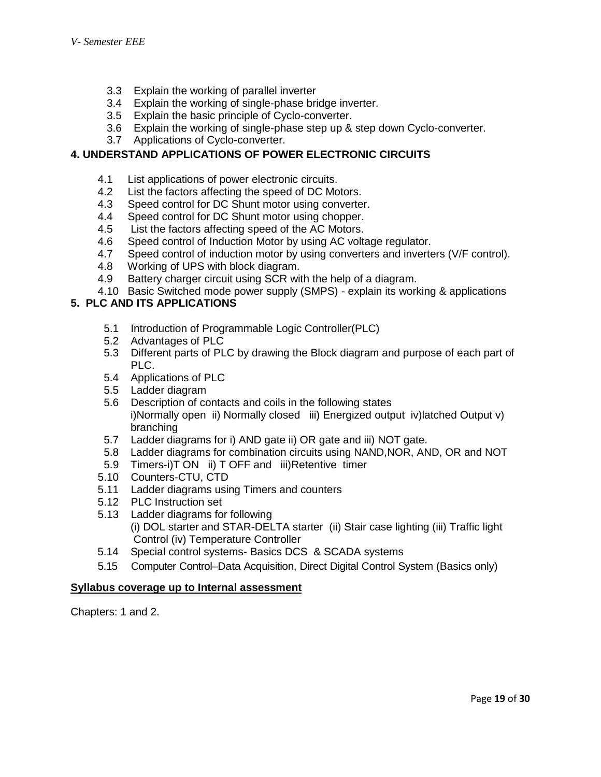- 3.3 Explain the working of parallel inverter
- 3.4 Explain the working of single-phase bridge inverter.
- 3.5 Explain the basic principle of Cyclo-converter.
- 3.6 Explain the working of single-phase step up & step down Cyclo-converter.
- 3.7 Applications of Cyclo-converter.

## **4. UNDERSTAND APPLICATIONS OF POWER ELECTRONIC CIRCUITS**

- 4.1 List applications of power electronic circuits.
- 4.2 List the factors affecting the speed of DC Motors.
- 4.3 Speed control for DC Shunt motor using converter.
- 4.4 Speed control for DC Shunt motor using chopper.
- 4.5 List the factors affecting speed of the AC Motors.
- 4.6 Speed control of Induction Motor by using AC voltage regulator.
- 4.7 Speed control of induction motor by using converters and inverters (V/F control).
- 4.8 Working of UPS with block diagram.
- 4.9 Battery charger circuit using SCR with the help of a diagram.
- 4.10 Basic Switched mode power supply (SMPS) explain its working & applications

## **5. PLC AND ITS APPLICATIONS**

- 5.1 Introduction of Programmable Logic Controller(PLC)
- 5.2 Advantages of PLC
- 5.3 Different parts of PLC by drawing the Block diagram and purpose of each part of PLC.
- 5.4 Applications of PLC
- 5.5 Ladder diagram
- 5.6 Description of contacts and coils in the following states i)Normally open ii) Normally closed iii) Energized output iv)latched Output v) branching
- 5.7 Ladder diagrams for i) AND gate ii) OR gate and iii) NOT gate.
- 5.8 Ladder diagrams for combination circuits using NAND,NOR, AND, OR and NOT
- 5.9 Timers-i)T ON ii) T OFF and iii)Retentive timer
- 5.10 Counters-CTU, CTD
- 5.11 Ladder diagrams using Timers and counters
- 5.12 PLC Instruction set
- 5.13 Ladder diagrams for following
	- (i) DOL starter and STAR-DELTA starter (ii) Stair case lighting (iii) Traffic light Control (iv) Temperature Controller
- 5.14 Special control systems- Basics DCS & SCADA systems
- 5.15 Computer Control–Data Acquisition, Direct Digital Control System (Basics only)

## **Syllabus coverage up to Internal assessment**

Chapters: 1 and 2.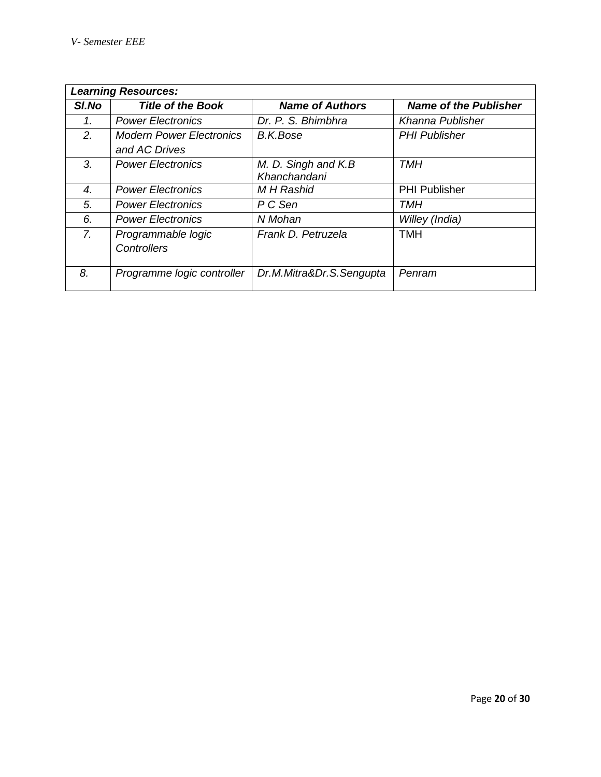| <b>Learning Resources:</b> |                                                  |                                     |                              |
|----------------------------|--------------------------------------------------|-------------------------------------|------------------------------|
| SI.No                      | <b>Title of the Book</b>                         | <b>Name of Authors</b>              | <b>Name of the Publisher</b> |
| 1.                         | <b>Power Electronics</b>                         | Dr. P. S. Bhimbhra                  | Khanna Publisher             |
| 2.                         | <b>Modern Power Electronics</b><br>and AC Drives | B.K.Bose                            | <b>PHI Publisher</b>         |
| 3.                         | <b>Power Electronics</b>                         | M. D. Singh and K.B<br>Khanchandani | TMH                          |
| 4.                         | <b>Power Electronics</b>                         | <b>MH</b> Rashid                    | <b>PHI Publisher</b>         |
| 5.                         | <b>Power Electronics</b>                         | P C Sen                             | TMH                          |
| 6.                         | <b>Power Electronics</b>                         | N Mohan                             | Willey (India)               |
| $\overline{7}$ .           | Programmable logic<br>Controllers                | Frank D. Petruzela                  | <b>TMH</b>                   |
| 8.                         | Programme logic controller                       | Dr.M.Mitra&Dr.S.Sengupta            | Penram                       |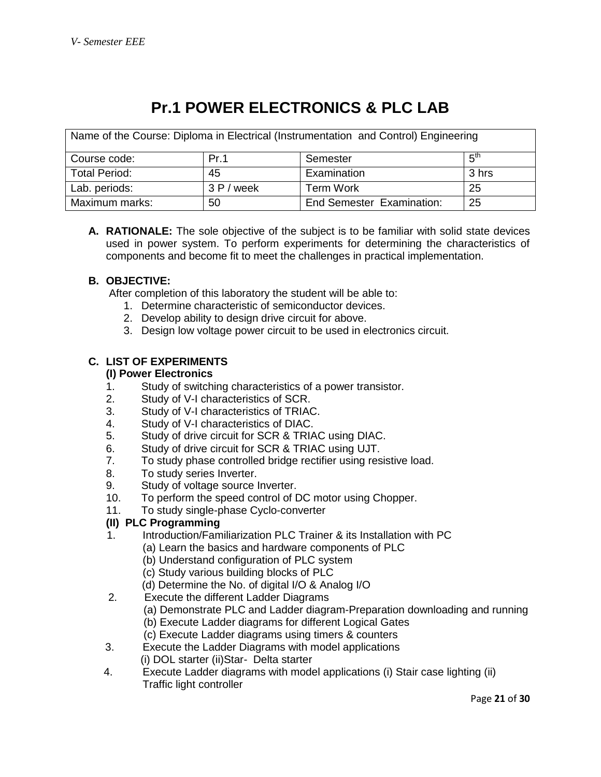## **Pr.1 POWER ELECTRONICS & PLC LAB**

| Name of the Course: Diploma in Electrical (Instrumentation and Control) Engineering |            |                           |                 |
|-------------------------------------------------------------------------------------|------------|---------------------------|-----------------|
| Course code:                                                                        | Pr.1       | Semester                  | հ <sup>th</sup> |
| <b>Total Period:</b>                                                                | 45         | Examination               | 3 hrs           |
| Lab. periods:                                                                       | 3 P / week | <b>Term Work</b>          | -25             |
| Maximum marks:                                                                      | 50         | End Semester Examination: | -25             |

**A. RATIONALE:** The sole objective of the subject is to be familiar with solid state devices used in power system. To perform experiments for determining the characteristics of components and become fit to meet the challenges in practical implementation.

## **B. OBJECTIVE:**

After completion of this laboratory the student will be able to:

- 1. Determine characteristic of semiconductor devices.
- 2. Develop ability to design drive circuit for above.
- 3. Design low voltage power circuit to be used in electronics circuit.

## **C. LIST OF EXPERIMENTS**

#### **(I) Power Electronics**

- 1. Study of switching characteristics of a power transistor.
- 2. Study of V-I characteristics of SCR.
- 3. Study of V-I characteristics of TRIAC.
- 4. Study of V-I characteristics of DIAC.
- 5. Study of drive circuit for SCR & TRIAC using DIAC.
- 6. Study of drive circuit for SCR & TRIAC using UJT.
- 7. To study phase controlled bridge rectifier using resistive load.
- 8. To study series Inverter.
- 9. Study of voltage source Inverter.
- 10. To perform the speed control of DC motor using Chopper.
- 11. To study single-phase Cyclo-converter

## **(II) PLC Programming**

- 1.Introduction/Familiarization PLC Trainer & its Installation with PC
	- (a) Learn the basics and hardware components of PLC
	- (b) Understand configuration of PLC system
	- (c) Study various building blocks of PLC
	- (d) Determine the No. of digital I/O & Analog I/O
- 2. Execute the different Ladder Diagrams
	- (a) Demonstrate PLC and Ladder diagram-Preparation downloading and running
		- (b) Execute Ladder diagrams for different Logical Gates
	- (c) Execute Ladder diagrams using timers & counters
- 3. Execute the Ladder Diagrams with model applications (i) DOL starter (ii)Star- Delta starter
- 4. Execute Ladder diagrams with model applications (i) Stair case lighting (ii) Traffic light controller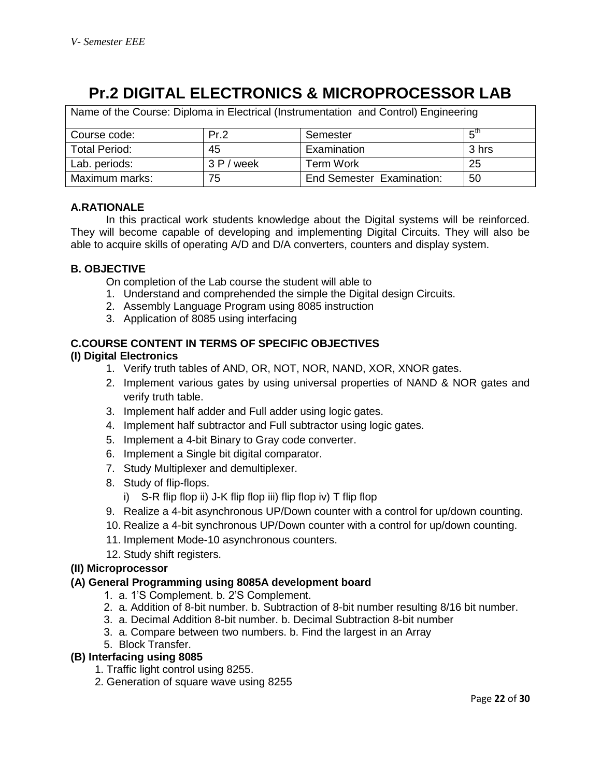## **Pr.2 DIGITAL ELECTRONICS & MICROPROCESSOR LAB**

| Name of the Course: Diploma in Electrical (Instrumentation and Control) Engineering |            |                                  |                 |
|-------------------------------------------------------------------------------------|------------|----------------------------------|-----------------|
| Course code:                                                                        | Pr.2       | Semester                         | 5 <sup>th</sup> |
| Total Period:                                                                       | 45         | Examination                      | 3 hrs           |
| Lab. periods:                                                                       | 3 P / week | <b>Term Work</b>                 | 25              |
| Maximum marks:                                                                      | 75         | <b>End Semester Examination:</b> | 50              |

## **A.RATIONALE**

In this practical work students knowledge about the Digital systems will be reinforced. They will become capable of developing and implementing Digital Circuits. They will also be able to acquire skills of operating A/D and D/A converters, counters and display system.

## **B. OBJECTIVE**

On completion of the Lab course the student will able to

- 1. Understand and comprehended the simple the Digital design Circuits.
- 2. Assembly Language Program using 8085 instruction
- 3. Application of 8085 using interfacing

## **C.COURSE CONTENT IN TERMS OF SPECIFIC OBJECTIVES**

#### **(I) Digital Electronics**

- 1. Verify truth tables of AND, OR, NOT, NOR, NAND, XOR, XNOR gates.
- 2. Implement various gates by using universal properties of NAND & NOR gates and verify truth table.
- 3. Implement half adder and Full adder using logic gates.
- 4. Implement half subtractor and Full subtractor using logic gates.
- 5. Implement a 4-bit Binary to Gray code converter.
- 6. Implement a Single bit digital comparator.
- 7. Study Multiplexer and demultiplexer.
- 8. Study of flip-flops.
	- i) S-R flip flop ii) J-K flip flop iii) flip flop iv) T flip flop
- 9. Realize a 4-bit asynchronous UP/Down counter with a control for up/down counting.
- 10. Realize a 4-bit synchronous UP/Down counter with a control for up/down counting.
- 11. Implement Mode-10 asynchronous counters.
- 12. Study shift registers.

#### **(II) Microprocessor**

#### **(A) General Programming using 8085A development board**

- 1. a. 1'S Complement. b. 2'S Complement.
- 2. a. Addition of 8-bit number. b. Subtraction of 8-bit number resulting 8/16 bit number.
- 3. a. Decimal Addition 8-bit number. b. Decimal Subtraction 8-bit number
- 3. a. Compare between two numbers. b. Find the largest in an Array
- 5. Block Transfer.

## **(B) Interfacing using 8085**

- 1. Traffic light control using 8255.
- 2. Generation of square wave using 8255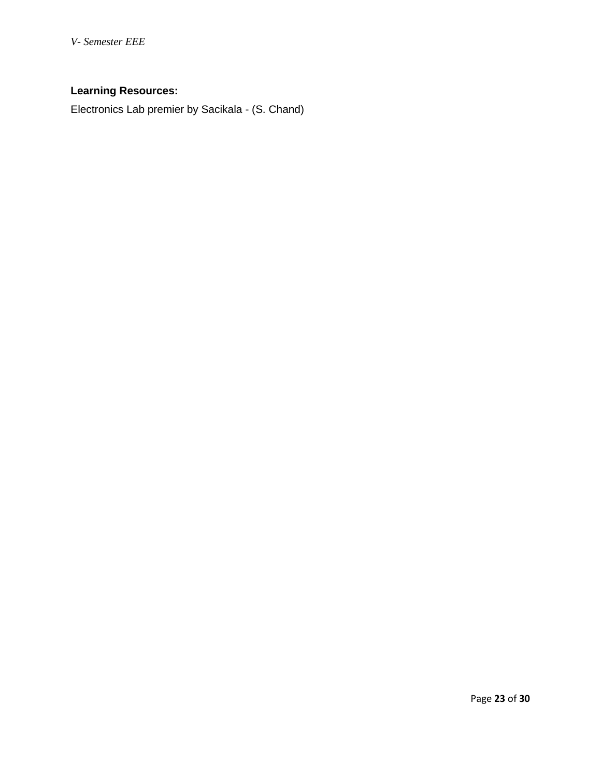*V- Semester EEE*

## **Learning Resources:**

Electronics Lab premier by Sacikala - (S. Chand)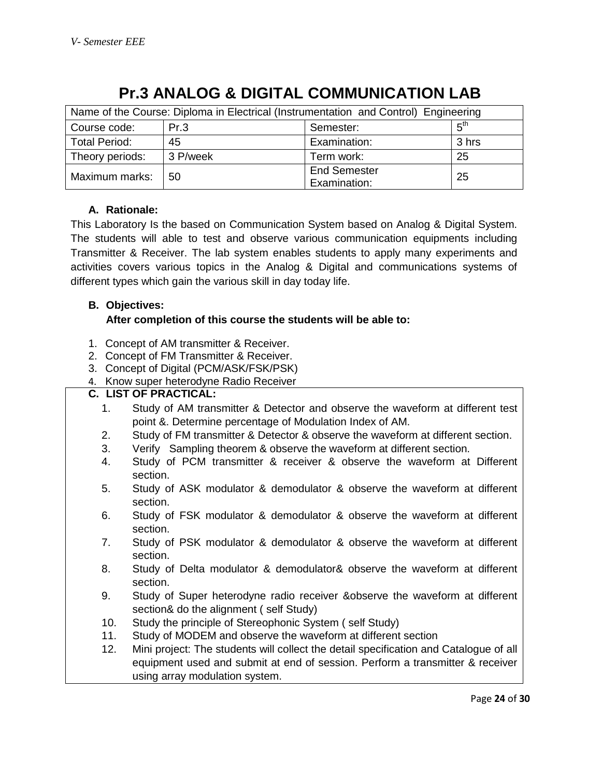| Name of the Course: Diploma in Electrical (Instrumentation and Control) Engineering |          |                                     |                 |
|-------------------------------------------------------------------------------------|----------|-------------------------------------|-----------------|
| Course code:                                                                        | Pr.3     | Semester:                           | 5 <sup>th</sup> |
| <b>Total Period:</b>                                                                | 45       | Examination:                        | 3 hrs           |
| Theory periods:                                                                     | 3 P/week | Term work:                          | 25              |
| Maximum marks:                                                                      | 50       | <b>End Semester</b><br>Examination: | 25              |

## **Pr.3 ANALOG & DIGITAL COMMUNICATION LAB**

## **A. Rationale:**

This Laboratory Is the based on Communication System based on Analog & Digital System. The students will able to test and observe various communication equipments including Transmitter & Receiver. The lab system enables students to apply many experiments and activities covers various topics in the Analog & Digital and communications systems of different types which gain the various skill in day today life.

## **B. Objectives:**

## **After completion of this course the students will be able to:**

- 1. Concept of AM transmitter & Receiver.
- 2. Concept of FM Transmitter & Receiver.
- 3. Concept of Digital (PCM/ASK/FSK/PSK)
- 4. Know super heterodyne Radio Receiver

## **C. LIST OF PRACTICAL:**

- 1. Study of AM transmitter & Detector and observe the waveform at different test point &. Determine percentage of Modulation Index of AM.
- 2. Study of FM transmitter & Detector & observe the waveform at different section.
- 3. Verify Sampling theorem & observe the waveform at different section.
- 4. Study of PCM transmitter & receiver & observe the waveform at Different section.
- 5. Study of ASK modulator & demodulator & observe the waveform at different section.
- 6. Study of FSK modulator & demodulator & observe the waveform at different section.
- 7. Study of PSK modulator & demodulator & observe the waveform at different section.
- 8. Study of Delta modulator & demodulator& observe the waveform at different section.
- 9. Study of Super heterodyne radio receiver &observe the waveform at different section& do the alignment ( self Study)
- 10. Study the principle of Stereophonic System ( self Study)
- 11. Study of MODEM and observe the waveform at different section
- 12. Mini project: The students will collect the detail specification and Catalogue of all equipment used and submit at end of session. Perform a transmitter & receiver using array modulation system.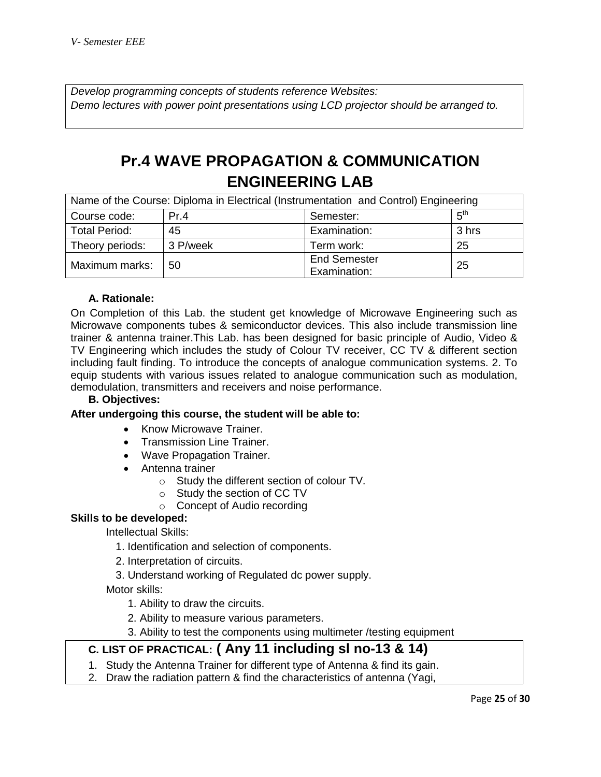*Develop programming concepts of students reference Websites: Demo lectures with power point presentations using LCD projector should be arranged to.*

## **Pr.4 WAVE PROPAGATION & COMMUNICATION ENGINEERING LAB**

| Name of the Course: Diploma in Electrical (Instrumentation and Control) Engineering |          |                                     |                 |
|-------------------------------------------------------------------------------------|----------|-------------------------------------|-----------------|
| Course code:                                                                        | Pr.4     | Semester:                           | 5 <sup>th</sup> |
| <b>Total Period:</b>                                                                | 45       | Examination:                        | 3 hrs           |
| Theory periods:                                                                     | 3 P/week | Term work:                          | 25              |
| Maximum marks:                                                                      | 50       | <b>End Semester</b><br>Examination: | -25             |

## **A. Rationale:**

On Completion of this Lab. the student get knowledge of Microwave Engineering such as Microwave components tubes & semiconductor devices. This also include transmission line trainer & antenna trainer.This Lab. has been designed for basic principle of Audio, Video & TV Engineering which includes the study of Colour TV receiver, CC TV & different section including fault finding. To introduce the concepts of analogue communication systems. 2. To equip students with various issues related to analogue communication such as modulation, demodulation, transmitters and receivers and noise performance.

## **B. Objectives:**

## **After undergoing this course, the student will be able to:**

- Know Microwave Trainer.
- Transmission Line Trainer.
- Wave Propagation Trainer.
- Antenna trainer
	- o Study the different section of colour TV.
	- o Study the section of CC TV
	- o Concept of Audio recording

## **Skills to be developed:**

Intellectual Skills:

- 1. Identification and selection of components.
- 2. Interpretation of circuits.
- 3. Understand working of Regulated dc power supply.

Motor skills:

- 1. Ability to draw the circuits.
- 2. Ability to measure various parameters.
- 3. Ability to test the components using multimeter /testing equipment

## **C. LIST OF PRACTICAL: ( Any 11 including sl no-13 & 14)**

- 1. Study the Antenna Trainer for different type of Antenna & find its gain.
- 2. Draw the radiation pattern & find the characteristics of antenna (Yagi,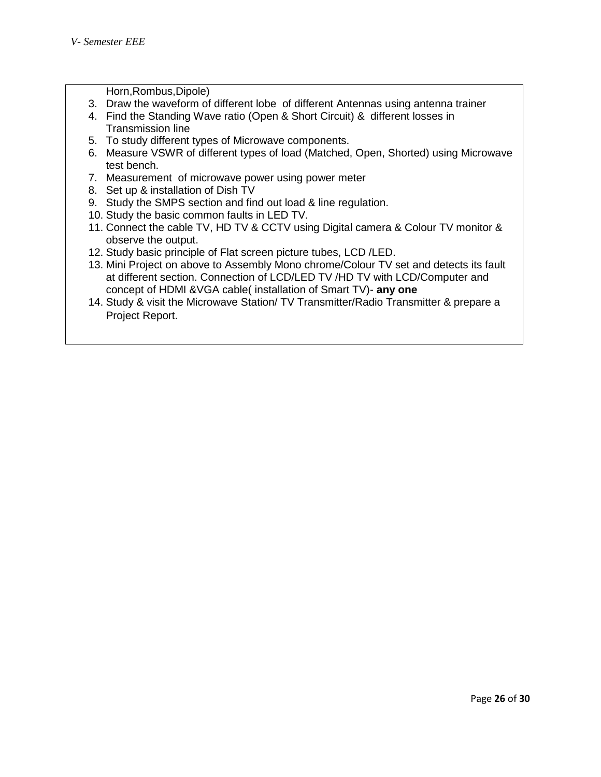Horn,Rombus,Dipole)

- 3. Draw the waveform of different lobe of different Antennas using antenna trainer
- 4. Find the Standing Wave ratio (Open & Short Circuit) & different losses in Transmission line
- 5. To study different types of Microwave components.
- 6. Measure VSWR of different types of load (Matched, Open, Shorted) using Microwave test bench.
- 7. Measurement of microwave power using power meter
- 8. Set up & installation of Dish TV
- 9. Study the SMPS section and find out load & line regulation.
- 10. Study the basic common faults in LED TV.
- 11. Connect the cable TV, HD TV & CCTV using Digital camera & Colour TV monitor & observe the output.
- 12. Study basic principle of Flat screen picture tubes, LCD /LED.
- 13. Mini Project on above to Assembly Mono chrome/Colour TV set and detects its fault at different section. Connection of LCD/LED TV /HD TV with LCD/Computer and concept of HDMI &VGA cable( installation of Smart TV)- **any one**
- 14. Study & visit the Microwave Station/ TV Transmitter/Radio Transmitter & prepare a Project Report.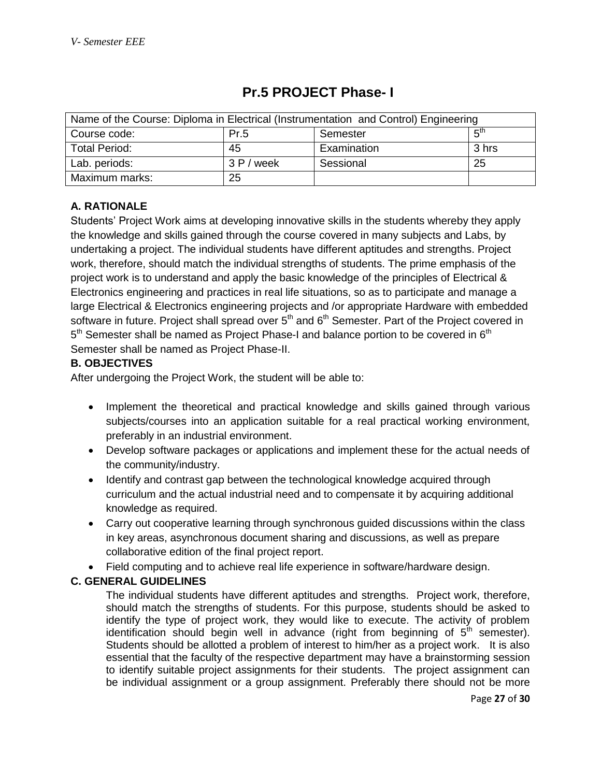| Name of the Course: Diploma in Electrical (Instrumentation and Control) Engineering |            |             |                 |
|-------------------------------------------------------------------------------------|------------|-------------|-----------------|
| Course code:                                                                        | Pr.5       | Semester    | $F^{\text{th}}$ |
| Total Period:                                                                       | 45         | Examination | 3 hrs           |
| Lab. periods:                                                                       | 3 P / week | Sessional   | 25              |
| Maximum marks:                                                                      | 25         |             |                 |

## **Pr.5 PROJECT Phase- I**

## **A. RATIONALE**

Students' Project Work aims at developing innovative skills in the students whereby they apply the knowledge and skills gained through the course covered in many subjects and Labs, by undertaking a project. The individual students have different aptitudes and strengths. Project work, therefore, should match the individual strengths of students. The prime emphasis of the project work is to understand and apply the basic knowledge of the principles of Electrical & Electronics engineering and practices in real life situations, so as to participate and manage a large Electrical & Electronics engineering projects and /or appropriate Hardware with embedded software in future. Project shall spread over  $5<sup>th</sup>$  and  $6<sup>th</sup>$  Semester. Part of the Project covered in 5<sup>th</sup> Semester shall be named as Project Phase-I and balance portion to be covered in 6<sup>th</sup> Semester shall be named as Project Phase-II.

## **B. OBJECTIVES**

After undergoing the Project Work, the student will be able to:

- Implement the theoretical and practical knowledge and skills gained through various subjects/courses into an application suitable for a real practical working environment, preferably in an industrial environment.
- Develop software packages or applications and implement these for the actual needs of the community/industry.
- Identify and contrast gap between the technological knowledge acquired through curriculum and the actual industrial need and to compensate it by acquiring additional knowledge as required.
- Carry out cooperative learning through synchronous guided discussions within the class in key areas, asynchronous document sharing and discussions, as well as prepare collaborative edition of the final project report.
- Field computing and to achieve real life experience in software/hardware design.

## **C. GENERAL GUIDELINES**

The individual students have different aptitudes and strengths. Project work, therefore, should match the strengths of students. For this purpose, students should be asked to identify the type of project work, they would like to execute. The activity of problem identification should begin well in advance (right from beginning of  $5<sup>th</sup>$  semester). Students should be allotted a problem of interest to him/her as a project work. It is also essential that the faculty of the respective department may have a brainstorming session to identify suitable project assignments for their students. The project assignment can be individual assignment or a group assignment. Preferably there should not be more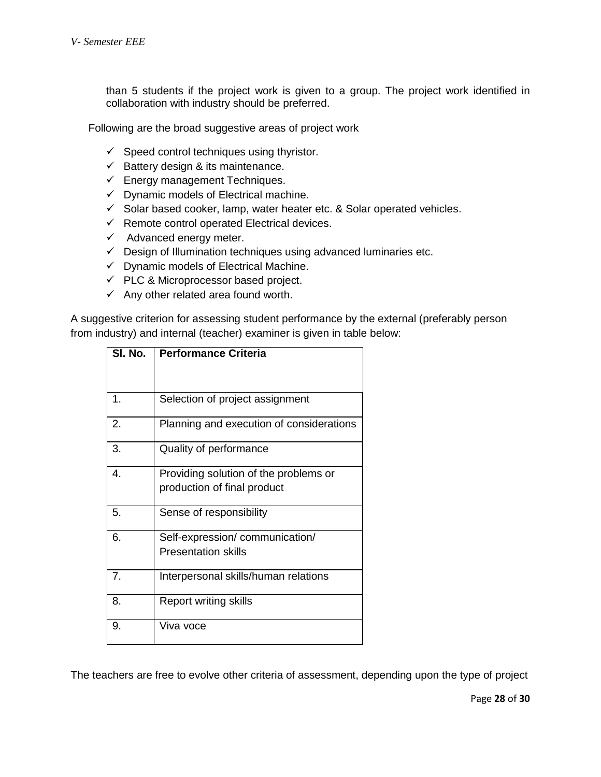than 5 students if the project work is given to a group. The project work identified in collaboration with industry should be preferred.

Following are the broad suggestive areas of project work

- $\checkmark$  Speed control techniques using thyristor.
- $\checkmark$  Battery design & its maintenance.
- $\checkmark$  Energy management Techniques.
- $\checkmark$  Dynamic models of Electrical machine.
- $\checkmark$  Solar based cooker, lamp, water heater etc. & Solar operated vehicles.
- $\checkmark$  Remote control operated Electrical devices.
- $\checkmark$  Advanced energy meter.
- $\checkmark$  Design of Illumination techniques using advanced luminaries etc.
- $\checkmark$  Dynamic models of Electrical Machine.
- $\checkmark$  PLC & Microprocessor based project.
- $\checkmark$  Any other related area found worth.

A suggestive criterion for assessing student performance by the external (preferably person from industry) and internal (teacher) examiner is given in table below:

| SI. No. | <b>Performance Criteria</b>              |
|---------|------------------------------------------|
|         |                                          |
|         |                                          |
| 1.      | Selection of project assignment          |
| 2.      | Planning and execution of considerations |
| 3.      | Quality of performance                   |
| 4.      | Providing solution of the problems or    |
|         | production of final product              |
| 5.      | Sense of responsibility                  |
| 6.      | Self-expression/communication/           |
|         | <b>Presentation skills</b>               |
| 7.      | Interpersonal skills/human relations     |
| 8.      | <b>Report writing skills</b>             |
| 9.      | Viva voce                                |

The teachers are free to evolve other criteria of assessment, depending upon the type of project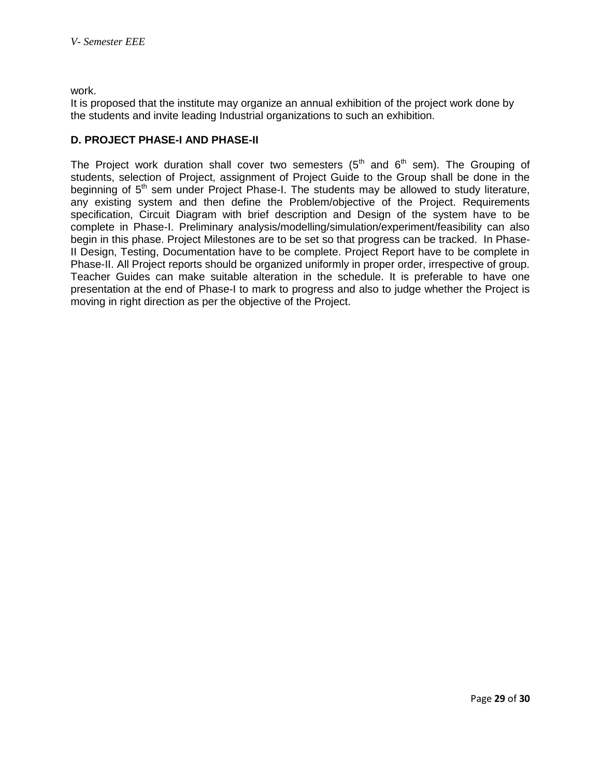work.

It is proposed that the institute may organize an annual exhibition of the project work done by the students and invite leading Industrial organizations to such an exhibition.

## **D. PROJECT PHASE-I AND PHASE-II**

The Project work duration shall cover two semesters  $(5<sup>th</sup>$  and  $6<sup>th</sup>$  sem). The Grouping of students, selection of Project, assignment of Project Guide to the Group shall be done in the beginning of  $5<sup>th</sup>$  sem under Project Phase-I. The students may be allowed to study literature, any existing system and then define the Problem/objective of the Project. Requirements specification, Circuit Diagram with brief description and Design of the system have to be complete in Phase-I. Preliminary analysis/modelling/simulation/experiment/feasibility can also begin in this phase. Project Milestones are to be set so that progress can be tracked. In Phase-II Design, Testing, Documentation have to be complete. Project Report have to be complete in Phase-II. All Project reports should be organized uniformly in proper order, irrespective of group. Teacher Guides can make suitable alteration in the schedule. It is preferable to have one presentation at the end of Phase-I to mark to progress and also to judge whether the Project is moving in right direction as per the objective of the Project.